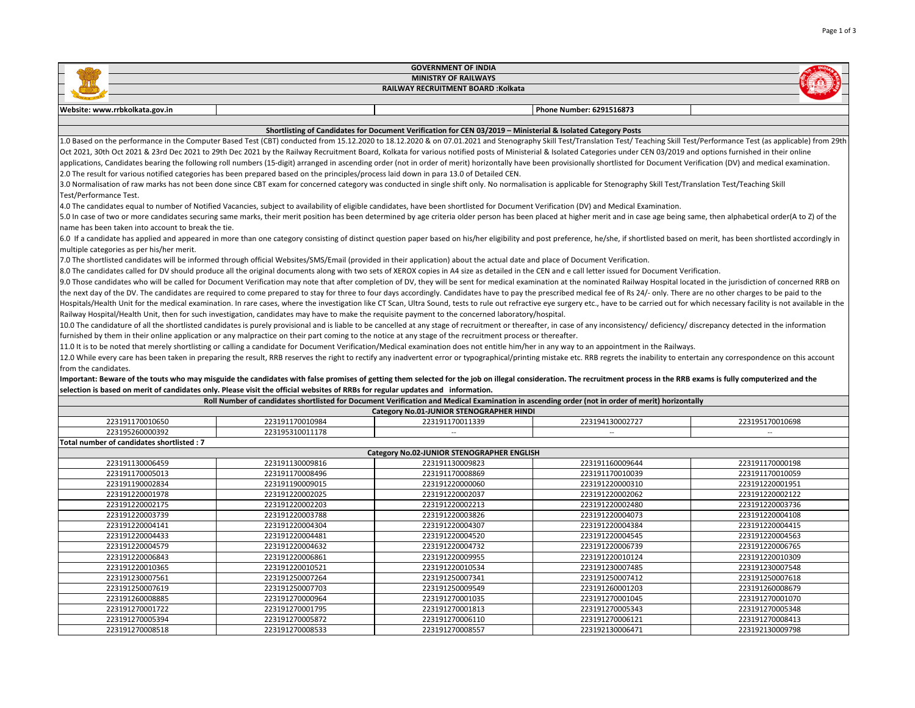| <b>GOVERNMENT OF INDIA</b><br>$\overline{\phantom{0}}$ |                             |  |                          |  |  |
|--------------------------------------------------------|-----------------------------|--|--------------------------|--|--|
|                                                        | <b>MINISTRY OF RAILWAYS</b> |  |                          |  |  |
| <b>RAILWAY RECRUITMENT BOARD:Kolkata</b>               |                             |  |                          |  |  |
|                                                        |                             |  |                          |  |  |
| Website: www.rrbkolkata.gov.in                         |                             |  | Phone Number: 6291516873 |  |  |
|                                                        |                             |  |                          |  |  |

## Shortlisting of Candidates for Document Verification for CEN 03/2019 – Ministerial & Isolated Category Posts

1.0 Based on the performance in the Computer Based Test (CBT) conducted from 15.12.2020 to 18.12.2020 & on 07.01.2021 and Stenography Skill Test/Translation Test/ Teaching Skill Test/Performance Test (as applicable) from 2 Oct 2021, 30th Oct 2021 & 23rd Dec 2021 to 29th Dec 2021 by the Railway Recruitment Board, Kolkata for various notified posts of Ministerial & Isolated Categories under CEN 03/2019 and options furnished in their online applications, Candidates bearing the following roll numbers (15-digit) arranged in ascending order (not in order of merit) horizontally have been provisionally shortlisted for Document Verification (DV) and medical examina 2.0 The result for various notified categories has been prepared based on the principles/process laid down in para 13.0 of Detailed CEN.

3.0 Normalisation of raw marks has not been done since CBT exam for concerned category was conducted in single shift only. No normalisation is applicable for Stenography Skill Test/Translation Test/Teaching Skill Test/Performance Test.

4.0 The candidates equal to number of Notified Vacancies, subject to availability of eligible candidates, have been shortlisted for Document Verification (DV) and Medical Examination.

5.0 In case of two or more candidates securing same marks, their merit position has been determined by age criteria older person has been placed at higher merit and in case age being same, then alphabetical order(A to Z) o name has been taken into account to break the tie.

6.0 If a candidate has applied and appeared in more than one category consisting of distinct question paper based on his/her eligibility and post preference, he/she, if shortlisted based on merit, has been shortlisted acco multiple categories as per his/her merit.

7.0 The shortlisted candidates will be informed through official Websites/SMS/Email (provided in their application) about the actual date and place of Document Verification.

8.0 The candidates called for DV should produce all the original documents along with two sets of XEROX copies in A4 size as detailed in the CEN and e call letter issued for Document Verification.

9.0 Those candidates who will be called for Document Verification may note that after completion of DV, they will be sent for medical examination at the nominated Railway Hospital located in the jurisdiction of concerned R the next day of the DV. The candidates are required to come prepared to stay for three to four days accordingly. Candidates have to pay the prescribed medical fee of Rs 24/- only. There are no other charges to be paid to t

Hospitals/Health Unit for the medical examination. In rare cases, where the investigation like CT Scan, Ultra Sound, tests to rule out refractive eye surgery etc., have to be carried out for which necessary facility is not Railway Hospital/Health Unit, then for such investigation, candidates may have to make the requisite payment to the concerned laboratory/hospital.

10.0 The candidature of all the shortlisted candidates is purely provisional and is liable to be cancelled at any stage of recruitment or thereafter, in case of any inconsistency/ deficiency/ discrepancy detected in the in furnished by them in their online application or any malpractice on their part coming to the notice at any stage of the recruitment process or thereafter.

11.0 It is to be noted that merely shortlisting or calling a candidate for Document Verification/Medical examination does not entitle him/her in any way to an appointment in the Railways.

12.0 While every care has been taken in preparing the result, RRB reserves the right to rectify any inadvertent error or typographical/printing mistake etc. RRB regrets the inability to entertain any correspondence on this from the candidates.

## Important: Beware of the touts who may misguide the candidates with false promises of getting them selected for the job on illegal consideration. The recruitment process in the RRB exams is fully computerized and the selection is based on merit of candidates only. Please visit the official websites of RRBs for regular updates and information.

| Roll Number of candidates shortlisted for Document Verification and Medical Examination in ascending order (not in order of merit) horizontally |                 |                 |                 |                 |
|-------------------------------------------------------------------------------------------------------------------------------------------------|-----------------|-----------------|-----------------|-----------------|
| Category No.01-JUNIOR STENOGRAPHER HINDI                                                                                                        |                 |                 |                 |                 |
| 223191170010650                                                                                                                                 | 223191170010984 | 223191170011339 | 223194130002727 | 223195170010698 |
| 223195260000392                                                                                                                                 | 223195310011178 | $- -$           | $-$             | $-$             |
| less and the complete state of the control of the construction of the control of the control of the control of                                  |                 |                 |                 |                 |

## Total number of candidates shortlisted : 7

| Category No.02-JUNIOR STENOGRAPHER ENGLISH |                 |                 |                 |                 |  |
|--------------------------------------------|-----------------|-----------------|-----------------|-----------------|--|
| 223191130006459                            | 223191130009816 | 223191130009823 | 223191160009644 | 223191170000198 |  |
| 223191170005013                            | 223191170008496 | 223191170008869 | 223191170010039 | 223191170010059 |  |
| 223191190002834                            | 223191190009015 | 223191220000060 | 223191220000310 | 223191220001951 |  |
| 223191220001978                            | 223191220002025 | 223191220002037 | 223191220002062 | 223191220002122 |  |
| 223191220002175                            | 223191220002203 | 223191220002213 | 223191220002480 | 223191220003736 |  |
| 223191220003739                            | 223191220003788 | 223191220003826 | 223191220004073 | 223191220004108 |  |
| 223191220004141                            | 223191220004304 | 223191220004307 | 223191220004384 | 223191220004415 |  |
| 223191220004433                            | 223191220004481 | 223191220004520 | 223191220004545 | 223191220004563 |  |
| 223191220004579                            | 223191220004632 | 223191220004732 | 223191220006739 | 223191220006765 |  |
| 223191220006843                            | 223191220006861 | 223191220009955 | 223191220010124 | 223191220010309 |  |
| 223191220010365                            | 223191220010521 | 223191220010534 | 223191230007485 | 223191230007548 |  |
| 223191230007561                            | 223191250007264 | 223191250007341 | 223191250007412 | 223191250007618 |  |
| 223191250007619                            | 223191250007703 | 223191250009549 | 223191260001203 | 223191260008679 |  |
| 223191260008885                            | 223191270000964 | 223191270001035 | 223191270001045 | 223191270001070 |  |
| 223191270001722                            | 223191270001795 | 223191270001813 | 223191270005343 | 223191270005348 |  |
| 223191270005394                            | 223191270005872 | 223191270006110 | 223191270006121 | 223191270008413 |  |
| 223191270008518                            | 223191270008533 | 223191270008557 | 223192130006471 | 223192130009798 |  |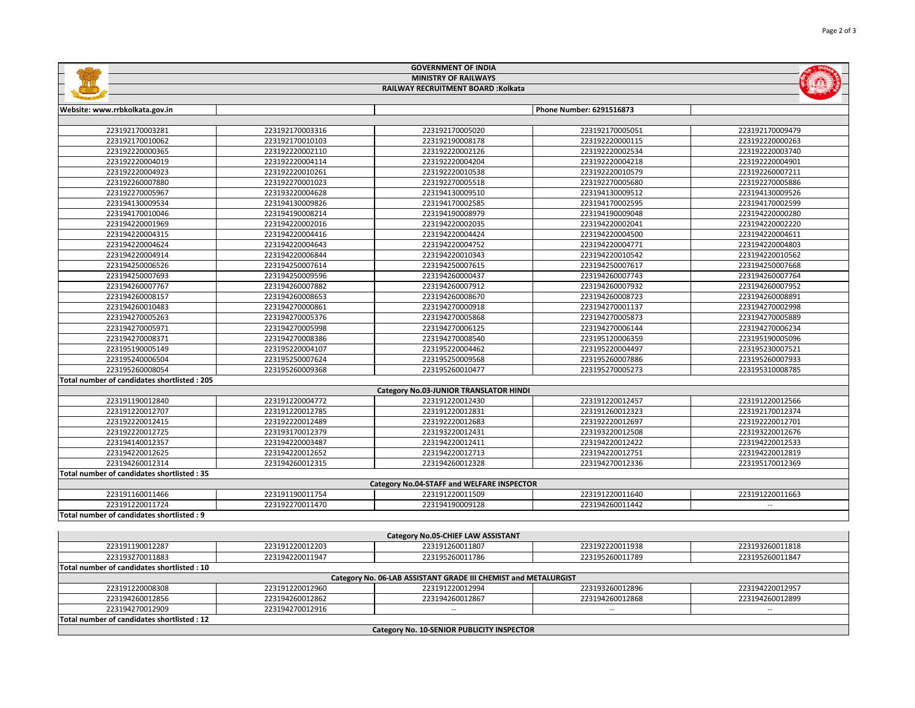|                                             |                 | <b>GOVERNMENT OF INDIA</b>                                      |                          |                             |  |
|---------------------------------------------|-----------------|-----------------------------------------------------------------|--------------------------|-----------------------------|--|
| <b>MINISTRY OF RAILWAYS</b>                 |                 |                                                                 |                          |                             |  |
|                                             |                 | RAILWAY RECRUITMENT BOARD : Kolkata                             |                          |                             |  |
|                                             |                 |                                                                 |                          |                             |  |
| Website: www.rrbkolkata.gov.in              |                 |                                                                 | Phone Number: 6291516873 |                             |  |
|                                             |                 |                                                                 |                          |                             |  |
| 223192170003281                             | 223192170003316 | 223192170005020                                                 | 223192170005051          | 223192170009479             |  |
| 223192170010062                             | 223192170010103 | 223192190008178                                                 | 223192220000115          | 223192220000263             |  |
| 223192220000365                             | 223192220002110 | 223192220002126                                                 | 223192220002534          | 223192220003740             |  |
| 223192220004019                             | 223192220004114 | 223192220004204                                                 | 223192220004218          | 223192220004901             |  |
| 223192220004923                             | 223192220010261 | 223192220010538                                                 | 223192220010579          | 223192260007211             |  |
| 223192260007880                             | 223192270001023 | 223192270005518                                                 | 223192270005680          | 223192270005886             |  |
| 223192270005967                             | 223193220004628 | 223194130009510                                                 | 223194130009512          | 223194130009526             |  |
| 223194130009534                             | 223194130009826 | 223194170002585                                                 | 223194170002595          | 223194170002599             |  |
| 223194170010046                             | 223194190008214 | 223194190008979                                                 | 223194190009048          | 223194220000280             |  |
| 223194220001969                             | 223194220002016 | 223194220002035                                                 | 223194220002041          | 223194220002220             |  |
| 223194220004315                             | 223194220004416 | 223194220004424                                                 | 223194220004500          | 223194220004611             |  |
| 223194220004624                             | 223194220004643 | 223194220004752                                                 | 223194220004771          | 223194220004803             |  |
| 223194220004914                             | 223194220006844 | 223194220010343                                                 | 223194220010542          | 223194220010562             |  |
| 223194250006526                             | 223194250007614 | 223194250007615                                                 | 223194250007617          | 223194250007668             |  |
| 223194250007693                             | 223194250009596 | 223194260000437                                                 | 223194260007743          | 223194260007764             |  |
| 223194260007767                             | 223194260007882 | 223194260007912                                                 | 223194260007932          | 223194260007952             |  |
| 223194260008157                             | 223194260008653 | 223194260008670                                                 | 223194260008723          | 223194260008891             |  |
| 223194260010483                             | 223194270000861 | 223194270000918                                                 | 223194270001137          | 223194270002998             |  |
| 223194270005263                             | 223194270005376 | 223194270005868                                                 | 223194270005873          | 223194270005889             |  |
| 223194270005971                             | 223194270005998 | 223194270006125                                                 | 223194270006144          | 223194270006234             |  |
| 223194270008371                             | 223194270008386 | 223194270008540                                                 | 223195120006359          | 223195190005096             |  |
| 223195190005149                             | 223195220004107 | 223195220004462                                                 | 223195220004497          | 223195230007521             |  |
| 223195240006504                             | 223195250007624 | 223195250009568                                                 | 223195260007886          | 223195260007933             |  |
| 223195260008054                             | 223195260009368 | 223195260010477                                                 | 223195270005273          | 223195310008785             |  |
| Total number of candidates shortlisted: 205 |                 |                                                                 |                          |                             |  |
|                                             |                 | Category No.03-JUNIOR TRANSLATOR HINDI                          |                          |                             |  |
| 223191190012840                             | 223191220004772 | 223191220012430                                                 | 223191220012457          | 223191220012566             |  |
| 223191220012707                             | 223191220012785 | 223191220012831                                                 | 223191260012323          | 223192170012374             |  |
| 223192220012415                             | 223192220012489 | 223192220012683                                                 | 223192220012697          | 223192220012701             |  |
| 223192220012725                             | 223193170012379 | 223193220012431                                                 | 223193220012508          | 223193220012676             |  |
| 223194140012357                             | 223194220003487 | 223194220012411                                                 | 223194220012422          | 223194220012533             |  |
| 223194220012625                             | 223194220012652 | 223194220012713                                                 | 223194220012751          | 223194220012819             |  |
| 223194260012314                             | 223194260012315 | 223194260012328                                                 | 223194270012336          | 223195170012369             |  |
| Total number of candidates shortlisted: 35  |                 |                                                                 |                          |                             |  |
|                                             |                 | Category No.04-STAFF and WELFARE INSPECTOR                      |                          |                             |  |
| 223191160011466                             | 223191190011754 | 223191220011509                                                 | 223191220011640          | 223191220011663             |  |
| 223191220011724                             | 223192270011470 | 223194190009128                                                 | 223194260011442          |                             |  |
| Total number of candidates shortlisted : 9  |                 |                                                                 |                          |                             |  |
|                                             |                 |                                                                 |                          |                             |  |
|                                             |                 | Category No.05-CHIEF LAW ASSISTANT                              |                          |                             |  |
| 223191190012287                             | 223191220012203 | 223191260011807                                                 | 223192220011938          | 223193260011818             |  |
| 223193270011883                             | 223194220011947 | 223195260011786                                                 | 223195260011789          | 223195260011847             |  |
| Total number of candidates shortlisted: 10  |                 |                                                                 |                          |                             |  |
|                                             |                 | Category No. 06-LAB ASSISTANT GRADE III CHEMIST and METALURGIST |                          |                             |  |
| 223191220008308                             | 223191220012960 | 223191220012994                                                 | 223193260012896          | 223194220012957             |  |
| 223194260012856                             | 223194260012862 | 223194260012867                                                 | 223194260012868          | 223194260012899             |  |
| 223194270012909                             | 223194270012916 | $\mathbb{L} \mathbb{L}$                                         | $\sim$                   | $\mathcal{L}_{\mathcal{A}}$ |  |
|                                             |                 |                                                                 |                          |                             |  |

Category No. 10-SENIOR PUBLICITY INSPECTOR

Total number of candidates shortlisted : 12